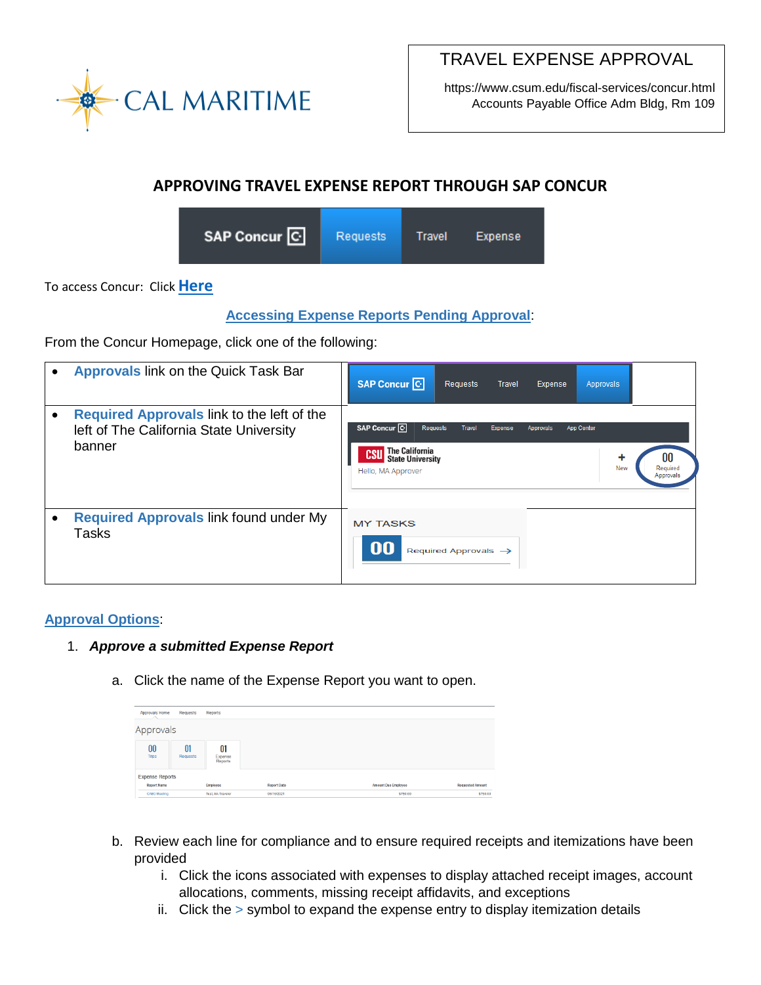

TRAVEL EXPENSE APPROVAL

https://www.csum.edu/fiscal-services/concur.html Accounts Payable Office Adm Bldg, Rm 109

# **APPROVING TRAVEL EXPENSE REPORT THROUGH SAP CONCUR**



To access Concur: Click **[Here](https://ds.calstate.edu/?svc=concur&org=csum)**

## **Accessing Expense Reports Pending Approval**:

From the Concur Homepage, click one of the following:

| $\bullet$ | <b>Approvals link on the Quick Task Bar</b>                                                     | SAP Concur <sup>C</sup><br>Requests<br><b>Travel</b><br>Expense<br>Approvals                                                                                                                                      |
|-----------|-------------------------------------------------------------------------------------------------|-------------------------------------------------------------------------------------------------------------------------------------------------------------------------------------------------------------------|
| $\bullet$ | Required Approvals link to the left of the<br>left of The California State University<br>banner | SAP Concur <sup>C</sup><br>Requests<br>Travel<br>Expense<br>App Center<br>Approvals<br><b>The California<br/>State University</b><br><b>CSU</b><br>00<br><b>New</b><br>Required<br>Hello, MA Approver<br>Approval |
| $\bullet$ | Required Approvals link found under My<br>Tasks                                                 | <b>MY TASKS</b><br>00<br>Required Approvals $\rightarrow$                                                                                                                                                         |

### **Approval Options**:

### 1. *Approve a submitted Expense Report*

a. Click the name of the Expense Report you want to open.

| Approvals Home<br>Requests<br>Reports |                |                                      |                                  |                                        |                                     |  |  |
|---------------------------------------|----------------|--------------------------------------|----------------------------------|----------------------------------------|-------------------------------------|--|--|
| Approvals                             |                |                                      |                                  |                                        |                                     |  |  |
| 00<br><b>Trips</b>                    | 01<br>Requests | 01<br>Expense<br>Reports             |                                  |                                        |                                     |  |  |
| <b>Expense Reports</b>                |                |                                      |                                  |                                        |                                     |  |  |
| <b>Report Name</b><br>CABO Meeting    |                | Employee<br><b>Test, MA Traveler</b> | <b>Report Date</b><br>06/16/2021 | <b>Amount Due Employee</b><br>\$750.00 | <b>Requested Amount</b><br>\$750.00 |  |  |

- b. Review each line for compliance and to ensure required receipts and itemizations have been provided
	- i. Click the icons associated with expenses to display attached receipt images, account allocations, comments, missing receipt affidavits, and exceptions
	- ii. Click the > symbol to expand the expense entry to display itemization details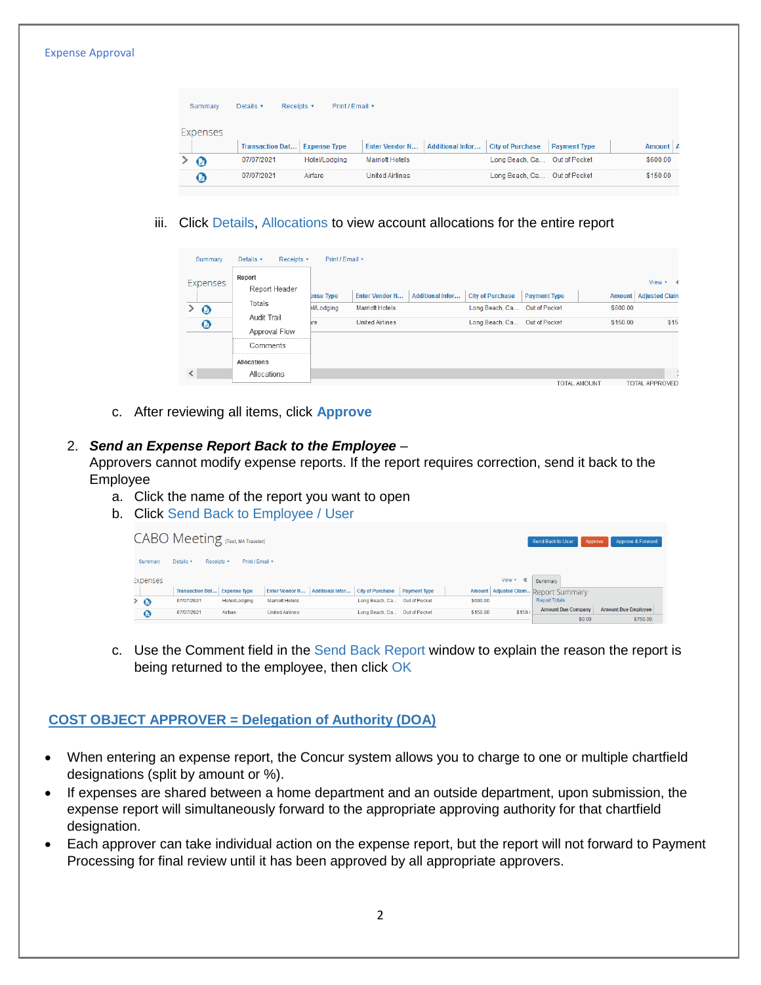#### Expense Approval

| Details v<br>Print / Email *<br>Summary<br>Receipts v |          |                        |                     |                        |                         |                         |                     |          |
|-------------------------------------------------------|----------|------------------------|---------------------|------------------------|-------------------------|-------------------------|---------------------|----------|
|                                                       | Expenses | <b>Transaction Dat</b> | <b>Expense Type</b> | <b>Enter Vendor N</b>  | <b>Additional Infor</b> | <b>City of Purchase</b> | <b>Payment Type</b> | Amount A |
|                                                       | Ø        | 07/07/2021             | Hotel/Lodging       | <b>Marriott Hotels</b> |                         | Long Beach, Ca          | Out of Pocket       | \$600.00 |
|                                                       |          |                        |                     |                        |                         |                         |                     |          |

iii. Click Details, Allocations to view account allocations for the entire report

| Summary           | Details v<br>Receipts v      | Print / Email *   |                        |                         |                         |                     |               |                       |
|-------------------|------------------------------|-------------------|------------------------|-------------------------|-------------------------|---------------------|---------------|-----------------------|
| Expenses          | Report<br>Report Header      |                   |                        |                         |                         |                     |               | View $\star$ $\prec$  |
|                   |                              | ense Type         | <b>Enter Vendor N</b>  | <b>Additional Infor</b> | <b>City of Purchase</b> | <b>Payment Type</b> | <b>Amount</b> | <b>Adjusted Clain</b> |
| $\Omega$          | Totals                       | <b>BI/Lodging</b> | <b>Marriott Hotels</b> |                         | Long Beach, Ca          | Out of Pocket       | \$600.00      |                       |
| $\bm{\bm{\circ}}$ | Audit Trail<br>Approval Flow | ire               | United Airlines        |                         | Long Beach, Ca          | Out of Pocket       | \$150.00      | \$15                  |
|                   | Comments                     |                   |                        |                         |                         |                     |               |                       |
|                   | Allocations                  |                   |                        |                         |                         |                     |               |                       |
|                   | Allocations                  |                   |                        |                         |                         |                     |               |                       |
|                   |                              |                   |                        |                         |                         |                     | TOTAL AMOUNT  | <b>TOTAL APPROVED</b> |

c. After reviewing all items, click **Approve**

### 2. *Send an Expense Report Back to the Employee* –

Approvers cannot modify expense reports. If the report requires correction, send it back to the Employee

- a. Click the name of the report you want to open
- b. Click Send Back to Employee / User

|                 | CABO Meeting [Test, MA Traveler]    |                      |                        |                  |                              |                     |          |             | Send Back to User                                | Approve & Forward<br>Approve |
|-----------------|-------------------------------------|----------------------|------------------------|------------------|------------------------------|---------------------|----------|-------------|--------------------------------------------------|------------------------------|
| Summary         | Details *<br>Receipts v             | Print / Email *      |                        |                  |                              |                     |          |             |                                                  |                              |
| <b>Expenses</b> | <b>Transaction Dat Expense Type</b> |                      | <b>Enter Vendor N</b>  | Additional Infor | <b>City of Purchase</b>      | <b>Payment Type</b> |          | View *<br>《 | Summary<br>Amount Adjusted Claim. Report Summary |                              |
| > O             | 07/07/2021                          | <b>Hotel/Lodging</b> | <b>Marriott Hotels</b> |                  | Long Beach, Ca Out of Pocket |                     | \$600.00 |             | <b>Report Totals</b>                             |                              |
| Ø               | 07/07/2021                          | Airfare              | United Airlines        |                  | Long Beach, Ca Out of Pocket |                     | \$150.00 | \$150.      | <b>Amount Due Company</b>                        | <b>Amount Due Employee</b>   |
|                 |                                     |                      |                        |                  |                              |                     |          |             | \$0.00                                           | \$750.00                     |

c. Use the Comment field in the Send Back Report window to explain the reason the report is being returned to the employee, then click OK

### **COST OBJECT APPROVER = Delegation of Authority (DOA)**

- When entering an expense report, the Concur system allows you to charge to one or multiple chartfield designations (split by amount or %).
- If expenses are shared between a home department and an outside department, upon submission, the expense report will simultaneously forward to the appropriate approving authority for that chartfield designation.
- Each approver can take individual action on the expense report, but the report will not forward to Payment Processing for final review until it has been approved by all appropriate approvers.